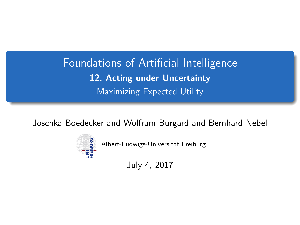<span id="page-0-0"></span>Foundations of Artificial Intelligence 12. Acting under Uncertainty Maximizing Expected Utility

Joschka Boedecker and Wolfram Burgard and Bernhard Nebel



Albert-Ludwigs-Universität Freiburg

July 4, 2017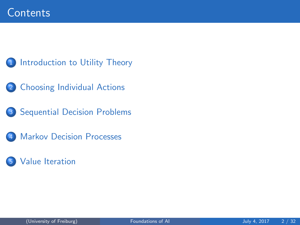- 1 [Introduction to Utility Theory](#page-2-0)
- **[Choosing Individual Actions](#page-4-0)**
- 3 [Sequential Decision Problems](#page-11-0)
- **[Markov Decision Processes](#page-13-0)**
- [Value Iteration](#page-18-0)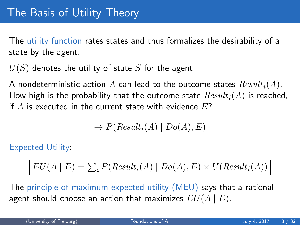<span id="page-2-0"></span>The utility function rates states and thus formalizes the desirability of a state by the agent.

 $U(S)$  denotes the utility of state S for the agent.

A nondeterministic action A can lead to the outcome states  $Result_i(A)$ . How high is the probability that the outcome state  $Result_i(A)$  is reached, if  $A$  is executed in the current state with evidence  $E$ ?

$$
\to P(Result_i(A) | Do(A), E)
$$

Expected Utility:

$$
EU(A | E) = \sum_{i} P(Result_i(A) | Do(A), E) \times U(Result_i(A))
$$

The principle of maximum expected utility (MEU) says that a rational agent should choose an action that maximizes  $EU(A | E)$ .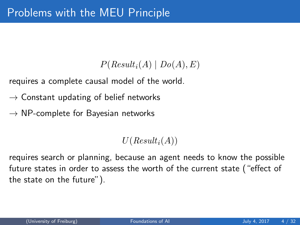### $P(Result_i(A) | Do(A), E)$

requires a complete causal model of the world.

- $\rightarrow$  Constant updating of belief networks
- $\rightarrow$  NP-complete for Bayesian networks

 $U(Result_i(A))$ 

requires search or planning, because an agent needs to know the possible future states in order to assess the worth of the current state ("effect of the state on the future").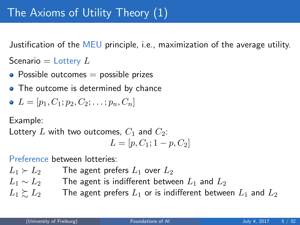<span id="page-4-0"></span>Justification of the MEU principle, i.e., maximization of the average utility.

Scenario  $=$  Lottery  $L$ 

- Possible outcomes  $=$  possible prizes
- The outcome is determined by chance

• 
$$
L = [p_1, C_1; p_2, C_2; \ldots; p_n, C_n]
$$

Example:

Lottery L with two outcomes,  $C_1$  and  $C_2$ :

$$
L = [p, C_1; 1-p, C_2]
$$

Preference between lotteries:

 $L_1 \succ L_2$  The agent prefers  $L_1$  over  $L_2$  $L_1 \sim L_2$  The agent is indifferent between  $L_1$  and  $L_2$  $L_1 \succeq L_2$  The agent prefers  $L_1$  or is indifferent between  $L_1$  and  $L_2$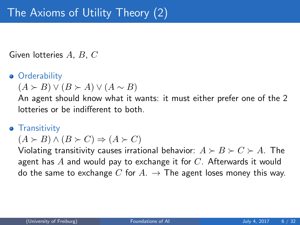Given lotteries A, B, C

### **•** Orderability

 $(A \succ B) \vee (B \succ A) \vee (A \sim B)$ 

An agent should know what it wants: it must either prefer one of the 2 lotteries or be indifferent to both.

### **•** Transitivity

 $(A \succ B) \wedge (B \succ C) \Rightarrow (A \succ C)$ 

Violating transitivity causes irrational behavior:  $A \succ B \succ C \succ A$ . The agent has  $A$  and would pay to exchange it for  $C$ . Afterwards it would do the same to exchange C for  $A. \rightarrow$  The agent loses money this way.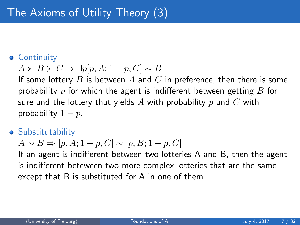#### **• Continuity**

$$
A \succ B \succ C \Rightarrow \exists p[p, A; 1 - p, C] \sim B
$$

If some lottery B is between A and C in preference, then there is some probability p for which the agent is indifferent between getting  $B$  for sure and the lottery that yields A with probability p and C with probability  $1 - p$ .

#### **•** Substitutability

$$
A \sim B \Rightarrow [p, A; 1 - p, C] \sim [p, B; 1 - p, C]
$$

If an agent is indifferent between two lotteries A and B, then the agent is indifferent beteween two more complex lotteries that are the same except that B is substituted for A in one of them.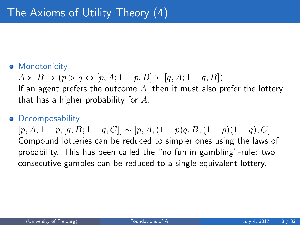### **• Monotonicity**

$$
A \succ B \Rightarrow (p > q \Leftrightarrow [p, A; 1 - p, B] \succ [q, A; 1 - q, B])
$$

If an agent prefers the outcome  $A$ , then it must also prefer the lottery that has a higher probability for  $A$ .

#### **•** Decomposability

 $[p, A; 1-p, [q, B; 1-q, C]] \sim [p, A; (1-p)q, B; (1-p)(1-q), C]$ Compound lotteries can be reduced to simpler ones using the laws of probability. This has been called the "no fun in gambling"-rule: two consecutive gambles can be reduced to a single equivalent lottery.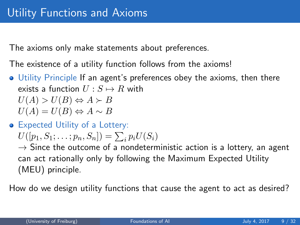The axioms only make statements about preferences.

The existence of a utility function follows from the axioms!

- Utility Principle If an agent's preferences obey the axioms, then there exists a function  $U : S \mapsto R$  with  $U(A) > U(B) \Leftrightarrow A \succ B$ 
	- $U(A) = U(B) \Leftrightarrow A \sim B$
- Expected Utility of a Lottery:

$$
U([p_1, S_1; \ldots; p_n, S_n]) = \sum_i p_i U(S_i)
$$

 $\rightarrow$  Since the outcome of a nondeterministic action is a lottery, an agent can act rationally only by following the Maximum Expected Utility (MEU) principle.

How do we design utility functions that cause the agent to act as desired?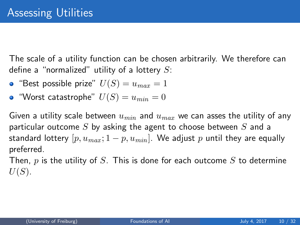The scale of a utility function can be chosen arbitrarily. We therefore can define a "normalized" utility of a lottery  $S$ :

- "Best possible prize"  $U(S) = u_{max} = 1$
- "Worst catastrophe"  $U(S) = u_{min} = 0$

Given a utility scale between  $u_{min}$  and  $u_{max}$  we can asses the utility of any particular outcome S by asking the agent to choose between S and a standard lottery  $[p, u_{max}; 1-p, u_{min}]$ . We adjust p until they are equally preferred.

Then,  $p$  is the utility of  $S$ . This is done for each outcome  $S$  to determine  $U(S)$ .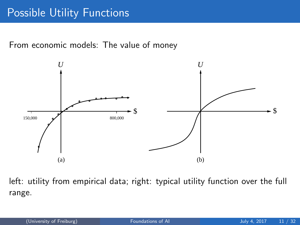## Possible Utility Functions

From economic models: The value of money



left: utility from empirical data; right: typical utility function over the full range.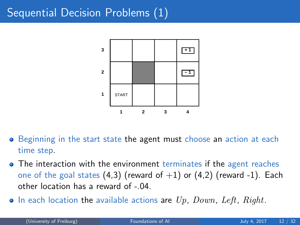## <span id="page-11-0"></span>Sequential Decision Problems (1)



- Beginning in the start state the agent must choose an action at each time step.
- The interaction with the environment terminates if the agent reaches one of the goal states  $(4,3)$  (reward of  $+1$ ) or  $(4,2)$  (reward -1). Each other location has a reward of -.04.
- $\bullet$  In each location the available actions are  $Up$ ,  $Down$ ,  $Left$ ,  $Right$ .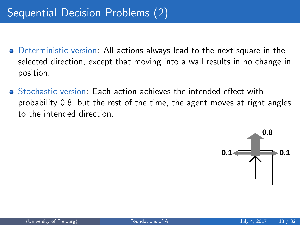- Deterministic version: All actions always lead to the next square in the selected direction, except that moving into a wall results in no change in position.
- Stochastic version: Each action achieves the intended effect with probability 0.8, but the rest of the time, the agent moves at right angles to the intended direction.

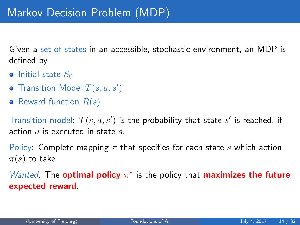<span id="page-13-0"></span>Given a set of states in an accessible, stochastic environment, an MDP is defined by

- $\bullet$  Initial state  $S_0$
- Transition Model  $T(s, a, s')$
- Reward function  $R(s)$

Transition model:  $T(s, a, s')$  is the probability that state  $s'$  is reached, if action  $a$  is executed in state  $s$ .

Policy: Complete mapping  $\pi$  that specifies for each state s which action  $\pi(s)$  to take.

Wanted: The **optimal policy**  $\pi^*$  is the policy that **maximizes the future** expected reward.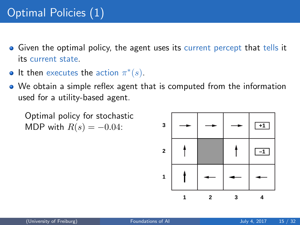# Optimal Policies (1)

- **•** Given the optimal policy, the agent uses its current percept that tells it its current state.
- It then executes the action  $\pi^*(s)$ .
- We obtain a simple reflex agent that is computed from the information used for a utility-based agent.

Optimal policy for stochastic MDP with  $R(s) = -0.04$ :

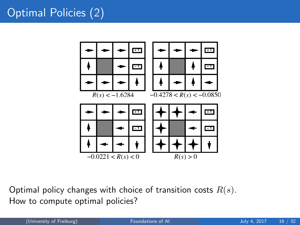# Optimal Policies (2)



Optimal policy changes with choice of transition costs  $R(s)$ . How to compute optimal policies?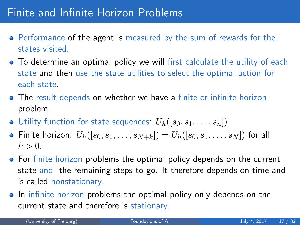## Finite and Infinite Horizon Problems

- Performance of the agent is measured by the sum of rewards for the states visited.
- **•** To determine an optimal policy we will first calculate the utility of each state and then use the state utilities to select the optimal action for each state.
- The result depends on whether we have a finite or infinite horizon problem.
- $\bullet$  Utility function for state sequences:  $U_h([s_0, s_1, \ldots, s_n])$
- Finite horizon:  $U_h([s_0, s_1, \ldots, s_{N+k}]) = U_h([s_0, s_1, \ldots, s_N])$  for all  $k > 0$ .
- For finite horizon problems the optimal policy depends on the current state and the remaining steps to go. It therefore depends on time and is called nonstationary.
- In infinite horizon problems the optimal policy only depends on the current state and therefore is stationary.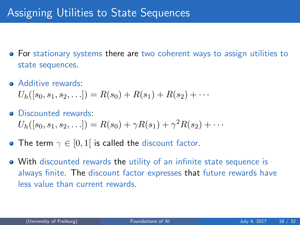- For stationary systems there are two coherent ways to assign utilities to state sequences.
- Additive rewards:

 $U_h([s_0, s_1, s_2, \ldots]) = R(s_0) + R(s_1) + R(s_2) + \cdots$ 

- Discounted rewards:  $U_h([s_0, s_1, s_2, \ldots]) = R(s_0) + \gamma R(s_1) + \gamma^2 R(s_2) + \cdots$
- The term  $\gamma \in [0,1]$  is called the discount factor.
- With discounted rewards the utility of an infinite state sequence is always finite. The discount factor expresses that future rewards have less value than current rewards.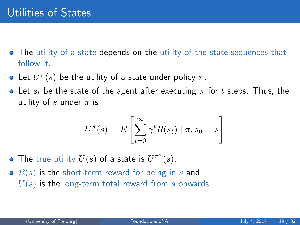- <span id="page-18-0"></span>• The utility of a state depends on the utility of the state sequences that follow it.
- Let  $U^{\pi}(s)$  be the utility of a state under policy  $\pi$ .
- Let  $s_t$  be the state of the agent after executing  $\pi$  for t steps. Thus, the utility of s under  $\pi$  is

$$
U^{\pi}(s) = E\left[\sum_{t=0}^{\infty} \gamma^t R(s_t) \mid \pi, s_0 = s\right]
$$

- The true utility  $U(s)$  of a state is  $U^{\pi^*}(s)$ .
- $\bullet$   $R(s)$  is the short-term reward for being in s and  $U(s)$  is the long-term total reward from s onwards.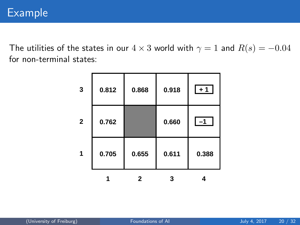The utilities of the states in our  $4 \times 3$  world with  $\gamma = 1$  and  $R(s) = -0.04$ for non-terminal states:

|              | 0.705 | 0.655 | 0.611 | 0.388 |
|--------------|-------|-------|-------|-------|
| $\mathbf{2}$ | 0.762 |       | 0.660 | $-1$  |
| 3            | 0.812 | 0.868 | 0.918 | $+1$  |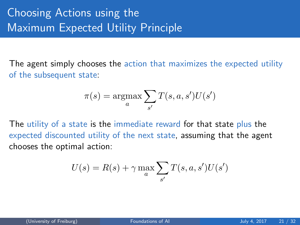# Choosing Actions using the **Maximum Expected Utility Principle**

The agent simply chooses the action that maximizes the expected utility of the subsequent state:

$$
\pi(s) = \operatorname*{argmax}_{a} \sum_{s'} T(s, a, s') U(s')
$$

The utility of a state is the immediate reward for that state plus the expected discounted utility of the next state, assuming that the agent chooses the optimal action:

$$
U(s) = R(s) + \gamma \max_{a} \sum_{s'} T(s, a, s')U(s')
$$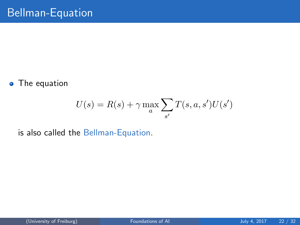• The equation

$$
U(s) = R(s) + \gamma \max_{a} \sum_{s'} T(s, a, s')U(s')
$$

is also called the Bellman-Equation.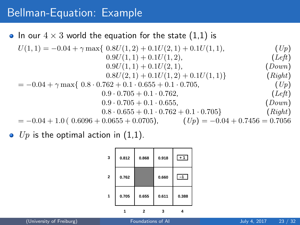## Bellman-Equation: Example

### • In our  $4 \times 3$  world the equation for the state (1,1) is

$$
U(1,1) = -0.04 + \gamma \max\{ 0.8U(1,2) + 0.1U(2,1) + 0.1U(1,1),
$$
  
\n
$$
0.9U(1,1) + 0.1U(1,2),
$$
  
\n
$$
0.9U(1,1) + 0.1U(2,1),
$$
  
\n
$$
0.9U(1,1) + 0.1U(2,1),
$$
  
\n
$$
0.9U(2,1) + 0.1U(1,2) + 0.1U(1,1)
$$
  
\n
$$
0.9U(2,1) + 0.1U(1,2) + 0.1U(1,1)
$$
  
\n
$$
0.9U(2,1) + 0.1U(1,2) + 0.1U(1,1)
$$
  
\n
$$
0.9U(2,1) + 0.1U(1,2) + 0.1U(1,1)
$$
  
\n
$$
0.9U(2,1) + 0.1U(1,2) + 0.1U(1,1)
$$
  
\n
$$
0.9U(2,1) + 0.1U(2,1),
$$
  
\n
$$
0.9U(2,1) + 0.1U(2,1),
$$
  
\n
$$
0.9U(2,1) + 0.1U(1,2) + 0.1U(1,1)
$$
  
\n
$$
0.9U(2,1) + 0.1U(2,1),
$$
  
\n
$$
0.9U(2,1) + 0.1U(2,1),
$$
  
\n
$$
0.9U(2,1) + 0.1U(2,1),
$$
  
\n
$$
0.9U(2,1) + 0.1U(2,1),
$$
  
\n
$$
0.9U(2,1) + 0.1U(2,1),
$$
  
\n
$$
0.9U(2,1) + 0.1U(2,1),
$$
  
\n
$$
0.9U(2,1) + 0.1U(2,1),
$$
  
\n
$$
0.9U(2,1) + 0.1U(2,1),
$$
  
\n
$$
0.9U(2,1) + 0.1U(2,1),
$$
  
\n

 $\bullet$  Up is the optimal action in (1,1).

| 3              | 0.812 | 0.868 | 0.918 | $+1$  |
|----------------|-------|-------|-------|-------|
| $\overline{2}$ | 0.762 |       | 0.660 | $ -1$ |
|                | 0.705 | 0.655 | 0.611 | 0.388 |
|                |       | 2     |       |       |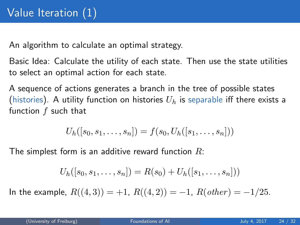An algorithm to calculate an optimal strategy.

Basic Idea: Calculate the utility of each state. Then use the state utilities to select an optimal action for each state.

A sequence of actions generates a branch in the tree of possible states (histories). A utility function on histories  $U_h$  is separable iff there exists a function  $f$  such that

$$
U_h([s_0, s_1, \ldots, s_n]) = f(s_0, U_h([s_1, \ldots, s_n]))
$$

The simplest form is an additive reward function  $R$ :

$$
U_h([s_0, s_1, \ldots, s_n]) = R(s_0) + U_h([s_1, \ldots, s_n]))
$$

In the example,  $R((4,3)) = +1$ ,  $R((4,2)) = -1$ ,  $R(other) = -1/25$ .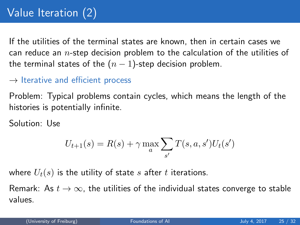# Value Iteration (2)

If the utilities of the terminal states are known, then in certain cases we can reduce an  $n$ -step decision problem to the calculation of the utilities of the terminal states of the  $(n - 1)$ -step decision problem.

#### $\rightarrow$  Iterative and efficient process

Problem: Typical problems contain cycles, which means the length of the histories is potentially infinite.

Solution: Use

$$
U_{t+1}(s) = R(s) + \gamma \max_{a} \sum_{s'} T(s, a, s') U_t(s')
$$

where  $U_t(s)$  is the utility of state s after t iterations.

Remark: As  $t \to \infty$ , the utilities of the individual states converge to stable values.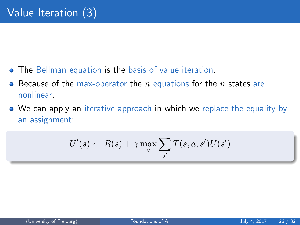- **•** The Bellman equation is the basis of value iteration.
- Because of the max-operator the  $n$  equations for the  $n$  states are  $\bullet$ nonlinear.
- We can apply an iterative approach in which we replace the equality by an assignment:

$$
U'(s) \leftarrow R(s) + \gamma \max_{a} \sum_{s'} T(s, a, s')U(s')
$$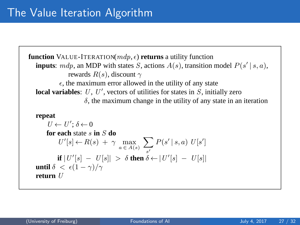```
function VALUE-ITERATION(mdp, \epsilon) returns a utility function
inputs: mdp, an MDP with states S, actions A(s), transition model P(s' | s, a),
             rewards R(s), discount \gamma\epsilon, the maximum error allowed in the utility of any state
local variables: U, U', vectors of utilities for states in S, initially zero
                   \delta, the maximum change in the utility of any state in an iteration
repeat
    U \leftarrow U'; \delta \leftarrow 0for each state s in S do
         U'[s] \leftarrow R(s) + \gamma \max_{a \in A(s)}\sums′
                                                P(s' | s, a) U[s']if |U'[s] - U[s]| > \delta then \delta \leftarrow |U'[s] - U[s]|until \delta < \epsilon(1-\gamma)/\gammareturn U
```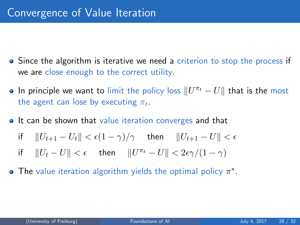- Since the algorithm is iterative we need a criterion to stop the process if we are close enough to the correct utility.
- In principle we want to limit the policy loss  $\|U^{\pi_t} U\|$  that is the most the agent can lose by executing  $\pi_t.$
- **It can be shown that value iteration converges and that**

$$
\text{if} \quad ||U_{t+1} - U_t|| < \epsilon (1 - \gamma)/\gamma \quad \text{ then} \quad ||U_{t+1} - U|| < \epsilon
$$

- if  $||U_t U|| < \epsilon$  then  $||U^{\pi_t} U|| < 2\epsilon \gamma/(1 \gamma)$
- The value iteration algorithm yields the optimal policy  $\pi^*$ .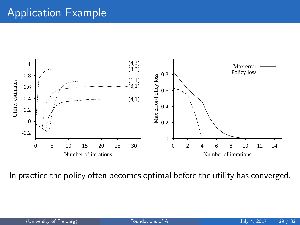## Application Example



In practice the policy often becomes optimal before the utility has converged.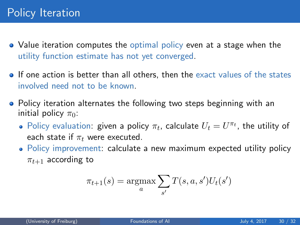- Value iteration computes the optimal policy even at a stage when the utility function estimate has not yet converged.
- **If one action is better than all others, then the exact values of the states** involved need not to be known.
- Policy iteration alternates the following two steps beginning with an initial policy  $\pi_0$ :
	- Policy evaluation: given a policy  $\pi_t$ , calculate  $U_t = U^{\pi_t}$ , the utility of each state if  $\pi_t$  were executed.
	- Policy improvement: calculate a new maximum expected utility policy  $\pi_{t+1}$  according to

$$
\pi_{t+1}(s) = \underset{a}{\operatorname{argmax}} \sum_{s'} T(s, a, s') U_t(s')
$$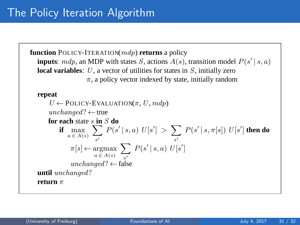**function** POLICY-ITERATION(mdp) **returns** a policy **inputs**:  $mdp$ , an MDP with states S, actions  $A(s)$ , transition model  $P(s' | s, a)$ **local variables**: U, a vector of utilities for states in S, initially zero  $\pi$ , a policy vector indexed by state, initially random **repeat**  $U \leftarrow$  POLICY-EVALUATION( $\pi$ ,  $U$ ,  $mdp$ )  $unchanged? \leftarrow true$ **for each** state s **in** S **do if**  $\max_{a \in A(s)}$  $\sum$ s′  $P(s' | s, a) U[s'] > \sum$ s′  $P(s' | s, \pi[s]) U[s']$  then do  $\pi[s] \leftarrow \mathop{\mathrm{argmax}}_{a \in A(s)}$  $\sum$ s′  $P(s' | s, a) U[s']$ unchanged?  $\leftarrow$  false **until** unchanged? **return** π